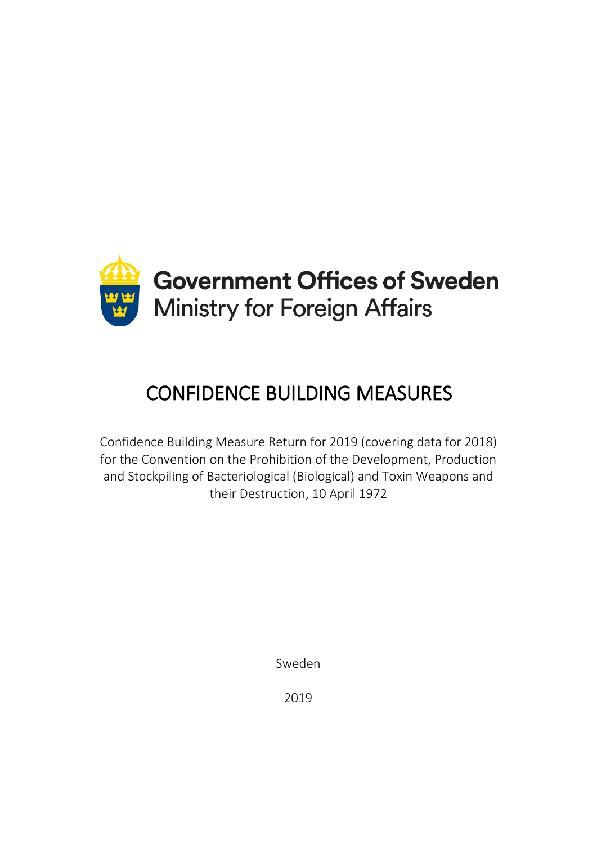

# CONFIDENCE BUILDING MEASURES

Confidence Building Measure Return for 2019 (covering data for 2018) for the Convention on the Prohibition of the Development, Production and Stockpiling of Bacteriological (Biological) and Toxin Weapons and their Destruction, 10 April 1972

Sweden

2019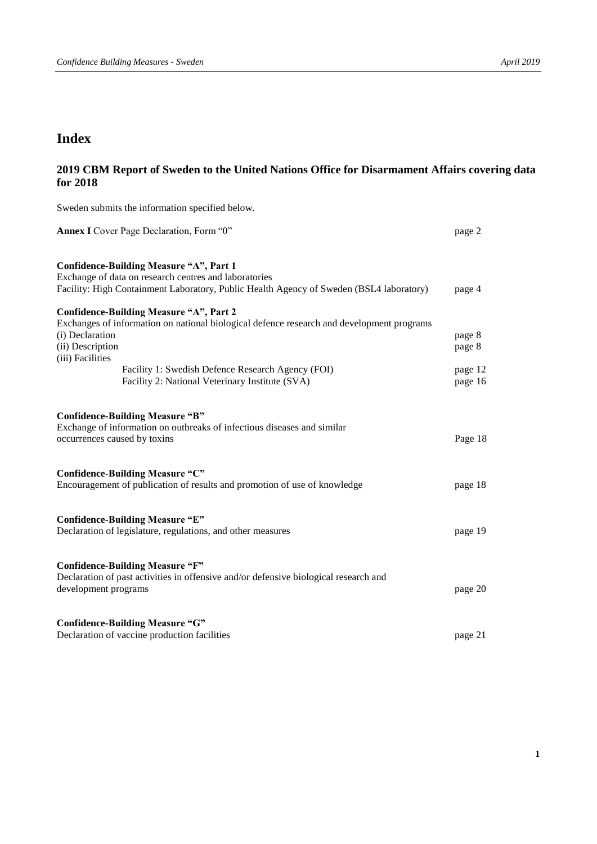## **Index**

## **2019 CBM Report of Sweden to the United Nations Office for Disarmament Affairs covering data for 2018**

Sweden submits the information specified below. **Annex I** Cover Page Declaration, Form "0" page 2 **Confidence-Building Measure "A", Part 1**  Exchange of data on research centres and laboratories Facility: High Containment Laboratory, Public Health Agency of Sweden (BSL4 laboratory) page 4 **Confidence-Building Measure "A", Part 2**  Exchanges of information on national biological defence research and development programs (i) Declaration page 8 (ii) Description page 8 (iii) Facilities Facility 1: Swedish Defence Research Agency (FOI) page 12 Facility 2: National Veterinary Institute (SVA) page 16 **Confidence-Building Measure "B"**  Exchange of information on outbreaks of infectious diseases and similar occurrences caused by toxins Page 18 **Confidence-Building Measure "C"**  Encouragement of publication of results and promotion of use of knowledge page 18 **Confidence-Building Measure "E"**  Declaration of legislature, regulations, and other measures page 19 **Confidence-Building Measure "F"**  Declaration of past activities in offensive and/or defensive biological research and development programs page 20 **Confidence-Building Measure "G"**  Declaration of vaccine production facilities page 21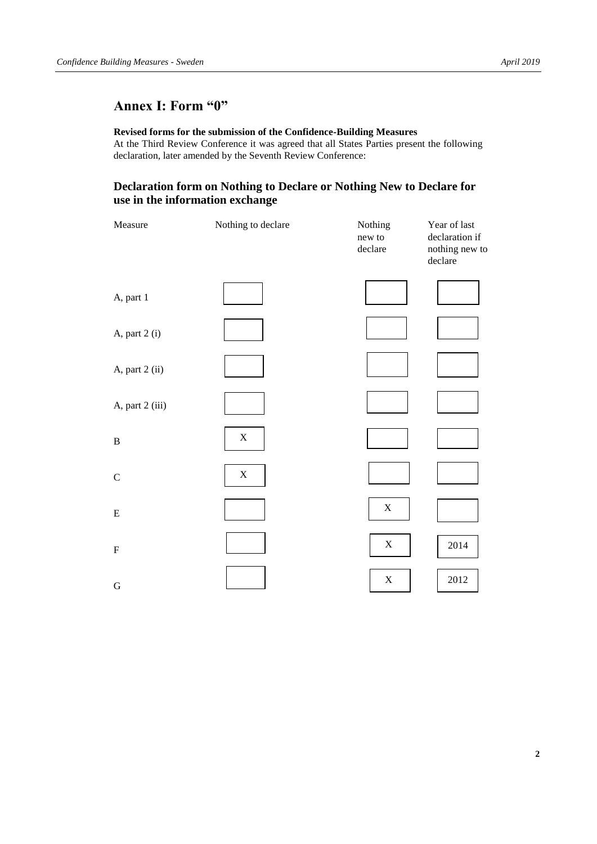## **Annex I: Form "0"**

#### **Revised forms for the submission of the Confidence-Building Measures**

At the Third Review Conference it was agreed that all States Parties present the following declaration, later amended by the Seventh Review Conference:

## **Declaration form on Nothing to Declare or Nothing New to Declare for use in the information exchange**

| Measure         | Nothing to declare | Nothing<br>new to<br>declare | Year of last<br>declaration if<br>nothing new to<br>declare |
|-----------------|--------------------|------------------------------|-------------------------------------------------------------|
| A, part 1       |                    |                              |                                                             |
| A, part 2 (i)   |                    |                              |                                                             |
| A, part 2 (ii)  |                    |                              |                                                             |
| A, part 2 (iii) |                    |                              |                                                             |
| $\, {\bf B}$    | $\mathbf X$        |                              |                                                             |
| ${\bf C}$       | $\mathbf X$        |                              |                                                             |
| ${\bf E}$       |                    | $\mathbf X$                  |                                                             |
| ${\bf F}$       |                    | $\mathbf X$                  | 2014                                                        |
| $\mathbf G$     |                    | $\mathbf X$                  | 2012                                                        |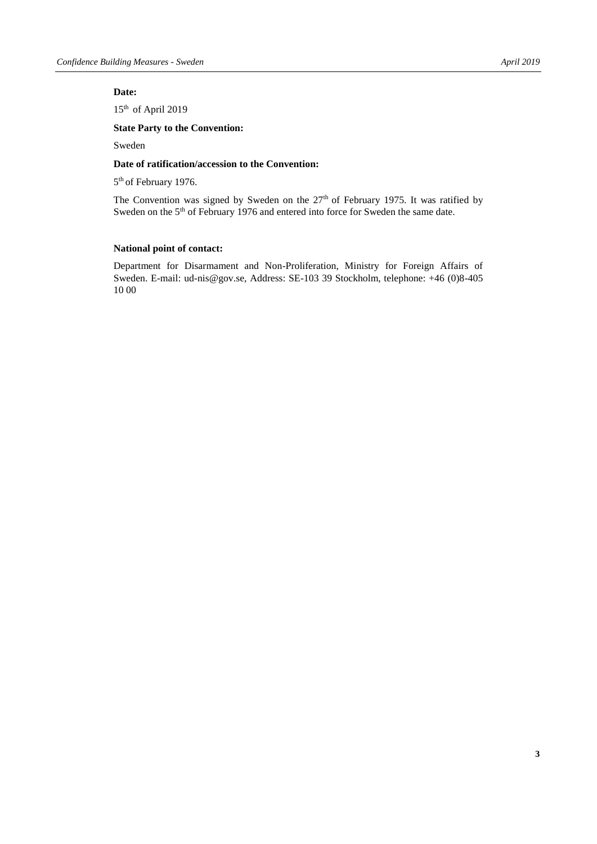#### **Date:**

15<sup>th</sup> of April 2019

#### **State Party to the Convention:**

Sweden

#### **Date of ratification/accession to the Convention:**

5<sup>th</sup> of February 1976.

The Convention was signed by Sweden on the 27<sup>th</sup> of February 1975. It was ratified by Sweden on the 5<sup>th</sup> of February 1976 and entered into force for Sweden the same date.

#### **National point of contact:**

Department for Disarmament and Non-Proliferation, Ministry for Foreign Affairs of Sweden. E-mail: [ud-nis@gov.se,](mailto:ud-nis@gov.se) Address: SE-103 39 Stockholm, telephone: +46 (0)8-405 10 00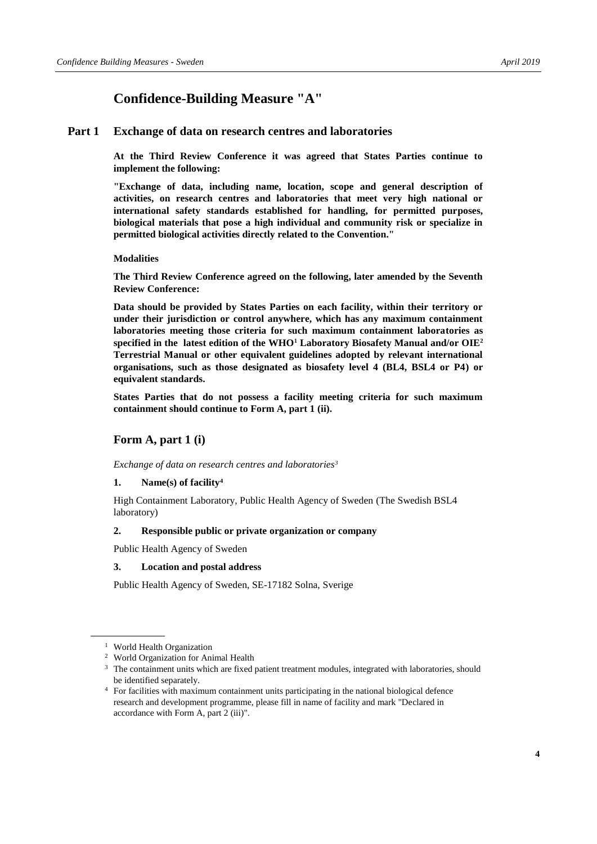## **Confidence-Building Measure "A"**

#### **Part 1 Exchange of data on research centres and laboratories**

**At the Third Review Conference it was agreed that States Parties continue to implement the following:**

**"Exchange of data, including name, location, scope and general description of activities, on research centres and laboratories that meet very high national or international safety standards established for handling, for permitted purposes, biological materials that pose a high individual and community risk or specialize in permitted biological activities directly related to the Convention."**

#### **Modalities**

**The Third Review Conference agreed on the following, later amended by the Seventh Review Conference:**

**Data should be provided by States Parties on each facility, within their territory or under their jurisdiction or control anywhere, which has any maximum containment laboratories meeting those criteria for such maximum containment laboratories as specified in the latest edition of the WHO<sup>1</sup> Laboratory Biosafety Manual and/or OIE<sup>2</sup> Terrestrial Manual or other equivalent guidelines adopted by relevant international organisations, such as those designated as biosafety level 4 (BL4, BSL4 or P4) or equivalent standards.**

**States Parties that do not possess a facility meeting criteria for such maximum containment should continue to Form A, part 1 (ii).**

#### **Form A, part 1 (i)**

*Exchange of data on research centres and laboratories<sup>3</sup>*

#### **1. Name(s) of facility<sup>4</sup>**

High Containment Laboratory, Public Health Agency of Sweden (The Swedish BSL4 laboratory)

#### **2. Responsible public or private organization or company**

Public Health Agency of Sweden

#### **3. Location and postal address**

Public Health Agency of Sweden, SE-17182 Solna, Sverige

<sup>1</sup> World Health Organization

<sup>2</sup> World Organization for Animal Health

<sup>&</sup>lt;sup>3</sup> The containment units which are fixed patient treatment modules, integrated with laboratories, should be identified separately.

<sup>4</sup> For facilities with maximum containment units participating in the national biological defence research and development programme, please fill in name of facility and mark "Declared in accordance with Form A, part 2 (iii)".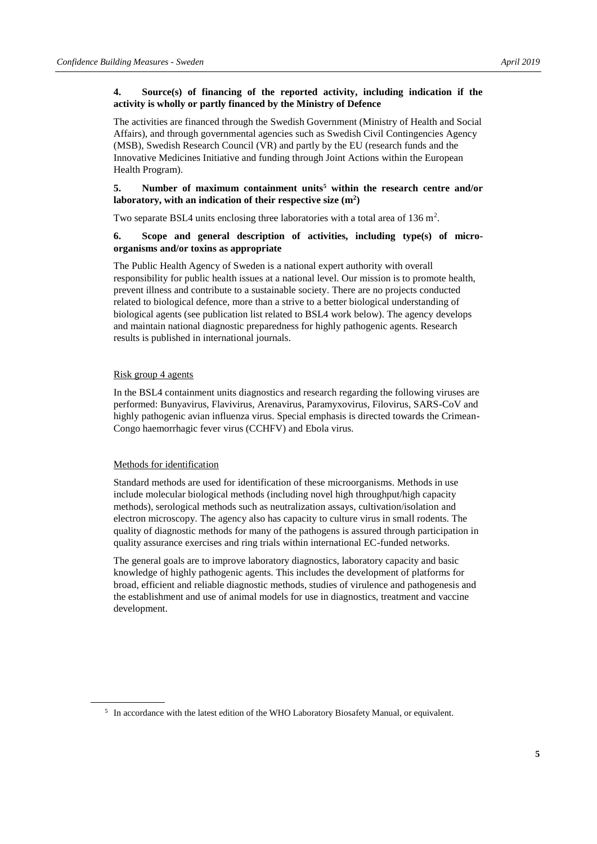#### **4. Source(s) of financing of the reported activity, including indication if the activity is wholly or partly financed by the Ministry of Defence**

The activities are financed through the Swedish Government (Ministry of Health and Social Affairs), and through governmental agencies such as Swedish Civil Contingencies Agency (MSB), Swedish Research Council (VR) and partly by the EU (research funds and the Innovative Medicines Initiative and funding through Joint Actions within the European Health Program).

#### **5. Number of maximum containment units<sup>5</sup> within the research centre and/or laboratory, with an indication of their respective size (m<sup>2</sup> )**

Two separate BSL4 units enclosing three laboratories with a total area of  $136 \text{ m}^2$ .

#### **6. Scope and general description of activities, including type(s) of microorganisms and/or toxins as appropriate**

The Public Health Agency of Sweden is a national expert authority with overall responsibility for public health issues at a national level. Our mission is to promote health, prevent illness and contribute to a sustainable society. There are no projects conducted related to biological defence, more than a strive to a better biological understanding of biological agents (see publication list related to BSL4 work below). The agency develops and maintain national diagnostic preparedness for highly pathogenic agents. Research results is published in international journals.

#### Risk group 4 agents

In the BSL4 containment units diagnostics and research regarding the following viruses are performed: Bunyavirus, Flavivirus, Arenavirus, Paramyxovirus, Filovirus, SARS-CoV and highly pathogenic avian influenza virus. Special emphasis is directed towards the Crimean-Congo haemorrhagic fever virus (CCHFV) and Ebola virus.

#### Methods for identification

Standard methods are used for identification of these microorganisms. Methods in use include molecular biological methods (including novel high throughput/high capacity methods), serological methods such as neutralization assays, cultivation/isolation and electron microscopy. The agency also has capacity to culture virus in small rodents. The quality of diagnostic methods for many of the pathogens is assured through participation in quality assurance exercises and ring trials within international EC-funded networks.

The general goals are to improve laboratory diagnostics, laboratory capacity and basic knowledge of highly pathogenic agents. This includes the development of platforms for broad, efficient and reliable diagnostic methods, studies of virulence and pathogenesis and the establishment and use of animal models for use in diagnostics, treatment and vaccine development.

<sup>&</sup>lt;sup>5</sup> In accordance with the latest edition of the WHO Laboratory Biosafety Manual, or equivalent.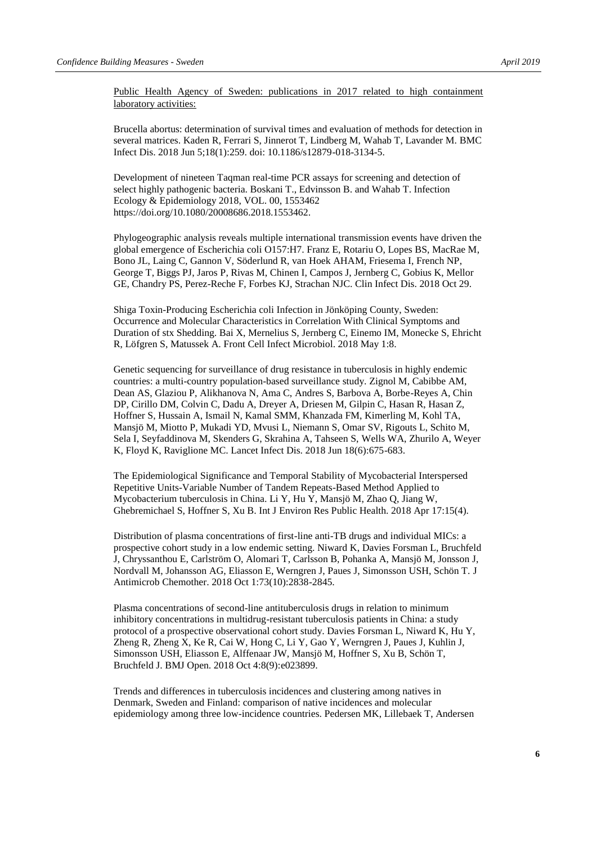Public Health Agency of Sweden: publications in 2017 related to high containment laboratory activities:

Brucella abortus: determination of survival times and evaluation of methods for detection in several matrices. Kaden R, Ferrari S, Jinnerot T, Lindberg M, Wahab T, Lavander M. BMC Infect Dis. 2018 Jun 5;18(1):259. doi: 10.1186/s12879-018-3134-5.

Development of nineteen Taqman real-time PCR assays for screening and detection of select highly pathogenic bacteria. Boskani T., Edvinsson B. and Wahab T. Infection Ecology & Epidemiology 2018, VOL. 00, 1553462 https://doi.org/10.1080/20008686.2018.1553462.

Phylogeographic analysis reveals multiple international transmission events have driven the global emergence of Escherichia coli O157:H7. Franz E, Rotariu O, Lopes BS, MacRae M, Bono JL, Laing C, Gannon V, Söderlund R, van Hoek AHAM, Friesema I, French NP, George T, Biggs PJ, Jaros P, Rivas M, Chinen I, Campos J, Jernberg C, Gobius K, Mellor GE, Chandry PS, Perez-Reche F, Forbes KJ, Strachan NJC. Clin Infect Dis. 2018 Oct 29.

Shiga Toxin-Producing Escherichia coli Infection in Jönköping County, Sweden: Occurrence and Molecular Characteristics in Correlation With Clinical Symptoms and Duration of stx Shedding. Bai X, Mernelius S, Jernberg C, Einemo IM, Monecke S, Ehricht R, Löfgren S, Matussek A. Front Cell Infect Microbiol. 2018 May 1:8.

Genetic sequencing for surveillance of drug resistance in tuberculosis in highly endemic countries: a multi-country population-based surveillance study. Zignol M, Cabibbe AM, Dean AS, Glaziou P, Alikhanova N, Ama C, Andres S, Barbova A, Borbe-Reyes A, Chin DP, Cirillo DM, Colvin C, Dadu A, Dreyer A, Driesen M, Gilpin C, Hasan R, Hasan Z, Hoffner S, Hussain A, Ismail N, Kamal SMM, Khanzada FM, Kimerling M, Kohl TA, Mansjö M, Miotto P, Mukadi YD, Mvusi L, Niemann S, Omar SV, Rigouts L, Schito M, Sela I, Seyfaddinova M, Skenders G, Skrahina A, Tahseen S, Wells WA, Zhurilo A, Weyer K, Floyd K, Raviglione MC. Lancet Infect Dis. 2018 Jun 18(6):675-683.

The Epidemiological Significance and Temporal Stability of Mycobacterial Interspersed Repetitive Units-Variable Number of Tandem Repeats-Based Method Applied to Mycobacterium tuberculosis in China. Li Y, Hu Y, Mansjö M, Zhao Q, Jiang W, Ghebremichael S, Hoffner S, Xu B. Int J Environ Res Public Health. 2018 Apr 17:15(4).

Distribution of plasma concentrations of first-line anti-TB drugs and individual MICs: a prospective cohort study in a low endemic setting. Niward K, Davies Forsman L, Bruchfeld J, Chryssanthou E, Carlström O, Alomari T, Carlsson B, Pohanka A, Mansjö M, Jonsson J, Nordvall M, Johansson AG, Eliasson E, Werngren J, Paues J, Simonsson USH, Schön T. J Antimicrob Chemother. 2018 Oct 1:73(10):2838-2845.

Plasma concentrations of second-line antituberculosis drugs in relation to minimum inhibitory concentrations in multidrug-resistant tuberculosis patients in China: a study protocol of a prospective observational cohort study. Davies Forsman L, Niward K, Hu Y, Zheng R, Zheng X, Ke R, Cai W, Hong C, Li Y, Gao Y, Werngren J, Paues J, Kuhlin J, Simonsson USH, Eliasson E, Alffenaar JW, Mansjö M, Hoffner S, Xu B, Schön T, Bruchfeld J. BMJ Open. 2018 Oct 4:8(9):e023899.

Trends and differences in tuberculosis incidences and clustering among natives in Denmark, Sweden and Finland: comparison of native incidences and molecular epidemiology among three low-incidence countries. Pedersen MK, Lillebaek T, Andersen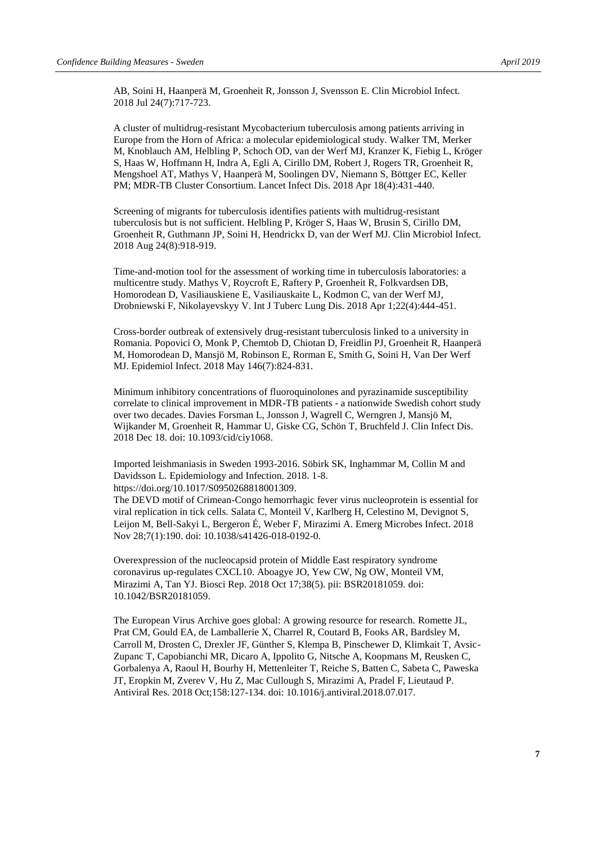AB, Soini H, Haanperä M, Groenheit R, Jonsson J, Svensson E. Clin Microbiol Infect. 2018 Jul 24(7):717-723.

A cluster of multidrug-resistant Mycobacterium tuberculosis among patients arriving in Europe from the Horn of Africa: a molecular epidemiological study. Walker TM, Merker M, Knoblauch AM, Helbling P, Schoch OD, van der Werf MJ, Kranzer K, Fiebig L, Kröger S, Haas W, Hoffmann H, Indra A, Egli A, Cirillo DM, Robert J, Rogers TR, Groenheit R, Mengshoel AT, Mathys V, Haanperä M, Soolingen DV, Niemann S, Böttger EC, Keller PM; MDR-TB Cluster Consortium. Lancet Infect Dis. 2018 Apr 18(4):431-440.

Screening of migrants for tuberculosis identifies patients with multidrug-resistant tuberculosis but is not sufficient. Helbling P, Kröger S, Haas W, Brusin S, Cirillo DM, Groenheit R, Guthmann JP, Soini H, Hendrickx D, van der Werf MJ. Clin Microbiol Infect. 2018 Aug 24(8):918-919.

Time-and-motion tool for the assessment of working time in tuberculosis laboratories: a multicentre study. Mathys V, Roycroft E, Raftery P, Groenheit R, Folkvardsen DB, Homorodean D, Vasiliauskiene E, Vasiliauskaite L, Kodmon C, van der Werf MJ, Drobniewski F, Nikolayevskyy V. Int J Tuberc Lung Dis. 2018 Apr 1;22(4):444-451.

Cross-border outbreak of extensively drug-resistant tuberculosis linked to a university in Romania. Popovici O, Monk P, Chemtob D, Chiotan D, Freidlin PJ, Groenheit R, Haanperä M, Homorodean D, Mansjö M, Robinson E, Rorman E, Smith G, Soini H, Van Der Werf MJ. Epidemiol Infect. 2018 May 146(7):824-831.

Minimum inhibitory concentrations of fluoroquinolones and pyrazinamide susceptibility correlate to clinical improvement in MDR-TB patients - a nationwide Swedish cohort study over two decades. Davies Forsman L, Jonsson J, Wagrell C, Werngren J, Mansjö M, Wijkander M, Groenheit R, Hammar U, Giske CG, Schön T, Bruchfeld J. Clin Infect Dis. 2018 Dec 18. doi: 10.1093/cid/ciy1068.

Imported leishmaniasis in Sweden 1993-2016. Söbirk SK, Inghammar M, Collin M and Davidsson L. Epidemiology and Infection. 2018. 1-8. [https://doi.org/10.1017/S0950268818001309.](https://doi.org/10.1017/S0950268818001309)

[The DEVD motif of Crimean-Congo hemorrhagic fever virus nucleoprotein is essential for](https://www-ncbi-nlm-nih-gov.proxy.kib.ki.se/pubmed/30482897)  [viral replication in tick cells.](https://www-ncbi-nlm-nih-gov.proxy.kib.ki.se/pubmed/30482897) Salata C, Monteil V, Karlberg H, Celestino M, Devignot S, Leijon M, Bell-Sakyi L, Bergeron É, Weber F, Mirazimi A. Emerg Microbes Infect. 2018 Nov 28;7(1):190. doi: 10.1038/s41426-018-0192-0.

[Overexpression of the nucleocapsid protein of Middle East respiratory syndrome](https://www-ncbi-nlm-nih-gov.proxy.kib.ki.se/pubmed/30242057)  [coronavirus up-regulates CXCL10.](https://www-ncbi-nlm-nih-gov.proxy.kib.ki.se/pubmed/30242057) Aboagye JO, Yew CW, Ng OW, Monteil VM, Mirazimi A, Tan YJ. Biosci Rep. 2018 Oct 17;38(5). pii: BSR20181059. doi: 10.1042/BSR20181059.

[The European Virus Archive goes global: A growing resource for research.](https://www-ncbi-nlm-nih-gov.proxy.kib.ki.se/pubmed/30059721) Romette JL, Prat CM, Gould EA, de Lamballerie X, Charrel R, Coutard B, Fooks AR, Bardsley M, Carroll M, Drosten C, Drexler JF, Günther S, Klempa B, Pinschewer D, Klimkait T, Avsic-Zupanc T, Capobianchi MR, Dicaro A, Ippolito G, Nitsche A, Koopmans M, Reusken C, Gorbalenya A, Raoul H, Bourhy H, Mettenleiter T, Reiche S, Batten C, Sabeta C, Paweska JT, Eropkin M, Zverev V, Hu Z, Mac Cullough S, Mirazimi A, Pradel F, Lieutaud P. Antiviral Res. 2018 Oct;158:127-134. doi: 10.1016/j.antiviral.2018.07.017.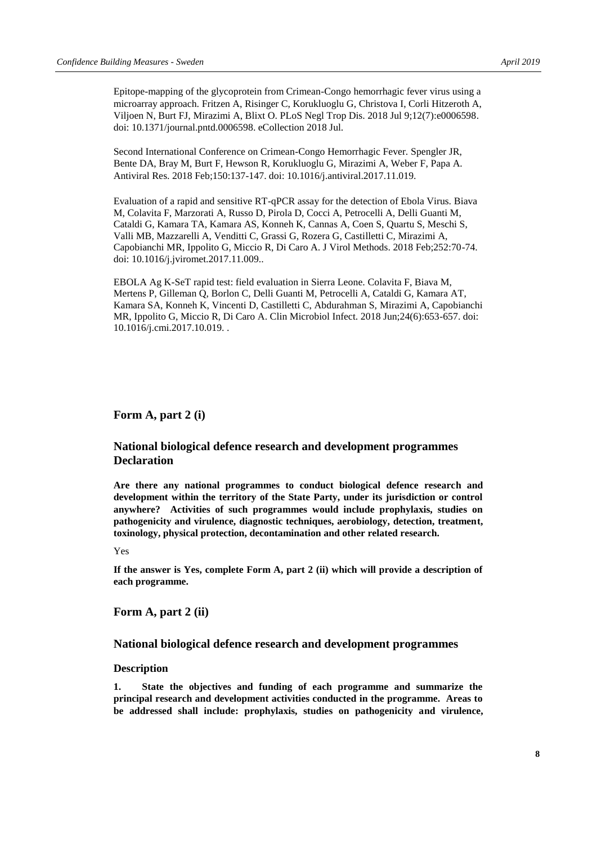[Epitope-mapping of the glycoprotein from Crimean-Congo hemorrhagic fever virus using a](https://www-ncbi-nlm-nih-gov.proxy.kib.ki.se/pubmed/29985929)  [microarray approach.](https://www-ncbi-nlm-nih-gov.proxy.kib.ki.se/pubmed/29985929) Fritzen A, Risinger C, Korukluoglu G, Christova I, Corli Hitzeroth A, Viljoen N, Burt FJ, Mirazimi A, Blixt O. PLoS Negl Trop Dis. 2018 Jul 9;12(7):e0006598. doi: 10.1371/journal.pntd.0006598. eCollection 2018 Jul.

[Second International Conference on Crimean-Congo Hemorrhagic Fever.](https://www-ncbi-nlm-nih-gov.proxy.kib.ki.se/pubmed/29199036) Spengler JR, Bente DA, Bray M, Burt F, Hewson R, Korukluoglu G, Mirazimi A, Weber F, Papa A. Antiviral Res. 2018 Feb;150:137-147. doi: 10.1016/j.antiviral.2017.11.019.

[Evaluation of a rapid and sensitive RT-qPCR assay for the detection of Ebola Virus.](https://www-ncbi-nlm-nih-gov.proxy.kib.ki.se/pubmed/29170019) Biava M, Colavita F, Marzorati A, Russo D, Pirola D, Cocci A, Petrocelli A, Delli Guanti M, Cataldi G, Kamara TA, Kamara AS, Konneh K, Cannas A, Coen S, Quartu S, Meschi S, Valli MB, Mazzarelli A, Venditti C, Grassi G, Rozera G, Castilletti C, Mirazimi A, Capobianchi MR, Ippolito G, Miccio R, Di Caro A. J Virol Methods. 2018 Feb;252:70-74. doi: 10.1016/j.jviromet.2017.11.009..

[EBOLA Ag K-SeT rapid test: field evaluation in Sierra Leone.](https://www-ncbi-nlm-nih-gov.proxy.kib.ki.se/pubmed/29107122) Colavita F, Biava M, Mertens P, Gilleman Q, Borlon C, Delli Guanti M, Petrocelli A, Cataldi G, Kamara AT, Kamara SA, Konneh K, Vincenti D, Castilletti C, Abdurahman S, Mirazimi A, Capobianchi MR, Ippolito G, Miccio R, Di Caro A. Clin Microbiol Infect. 2018 Jun;24(6):653-657. doi: 10.1016/j.cmi.2017.10.019. .

#### **Form A, part 2 (i)**

#### **National biological defence research and development programmes Declaration**

**Are there any national programmes to conduct biological defence research and development within the territory of the State Party, under its jurisdiction or control anywhere? Activities of such programmes would include prophylaxis, studies on pathogenicity and virulence, diagnostic techniques, aerobiology, detection, treatment, toxinology, physical protection, decontamination and other related research.**

#### Yes

**If the answer is Yes, complete Form A, part 2 (ii) which will provide a description of each programme.**

**Form A, part 2 (ii)**

#### **National biological defence research and development programmes**

#### **Description**

**1. State the objectives and funding of each programme and summarize the principal research and development activities conducted in the programme. Areas to be addressed shall include: prophylaxis, studies on pathogenicity and virulence,**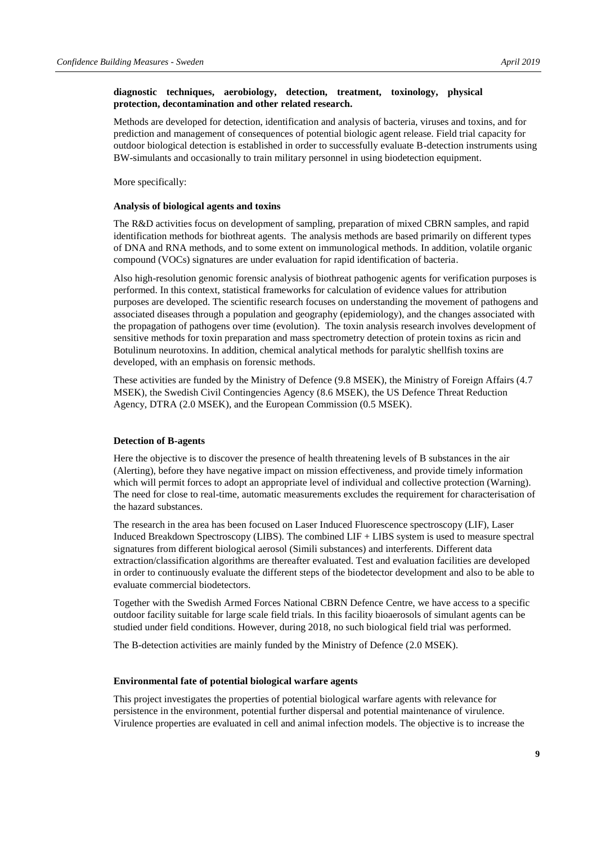#### **diagnostic techniques, aerobiology, detection, treatment, toxinology, physical protection, decontamination and other related research.**

Methods are developed for detection, identification and analysis of bacteria, viruses and toxins, and for prediction and management of consequences of potential biologic agent release. Field trial capacity for outdoor biological detection is established in order to successfully evaluate B-detection instruments using BW-simulants and occasionally to train military personnel in using biodetection equipment.

More specifically:

#### **Analysis of biological agents and toxins**

The R&D activities focus on development of sampling, preparation of mixed CBRN samples, and rapid identification methods for biothreat agents. The analysis methods are based primarily on different types of DNA and RNA methods, and to some extent on immunological methods. In addition, volatile organic compound (VOCs) signatures are under evaluation for rapid identification of bacteria.

Also high-resolution genomic forensic analysis of biothreat pathogenic agents for verification purposes is performed. In this context, statistical frameworks for calculation of evidence values for attribution purposes are developed. The scientific research focuses on understanding the movement of pathogens and associated diseases through a population and geography (epidemiology), and the changes associated with the propagation of pathogens over time (evolution). The toxin analysis research involves development of sensitive methods for toxin preparation and mass spectrometry detection of protein toxins as ricin and Botulinum neurotoxins. In addition, chemical analytical methods for paralytic shellfish toxins are developed, with an emphasis on forensic methods.

These activities are funded by the Ministry of Defence (9.8 MSEK), the Ministry of Foreign Affairs (4.7 MSEK), the Swedish Civil Contingencies Agency (8.6 MSEK), the US Defence Threat Reduction Agency, DTRA (2.0 MSEK), and the European Commission (0.5 MSEK).

#### **Detection of B-agents**

Here the objective is to discover the presence of health threatening levels of B substances in the air (Alerting), before they have negative impact on mission effectiveness, and provide timely information which will permit forces to adopt an appropriate level of individual and collective protection (Warning). The need for close to real-time, automatic measurements excludes the requirement for characterisation of the hazard substances.

The research in the area has been focused on Laser Induced Fluorescence spectroscopy (LIF), Laser Induced Breakdown Spectroscopy (LIBS). The combined LIF + LIBS system is used to measure spectral signatures from different biological aerosol (Simili substances) and interferents. Different data extraction/classification algorithms are thereafter evaluated. Test and evaluation facilities are developed in order to continuously evaluate the different steps of the biodetector development and also to be able to evaluate commercial biodetectors.

Together with the Swedish Armed Forces National CBRN Defence Centre, we have access to a specific outdoor facility suitable for large scale field trials. In this facility bioaerosols of simulant agents can be studied under field conditions. However, during 2018, no such biological field trial was performed.

The B-detection activities are mainly funded by the Ministry of Defence (2.0 MSEK).

#### **Environmental fate of potential biological warfare agents**

This project investigates the properties of potential biological warfare agents with relevance for persistence in the environment, potential further dispersal and potential maintenance of virulence. Virulence properties are evaluated in cell and animal infection models. The objective is to increase the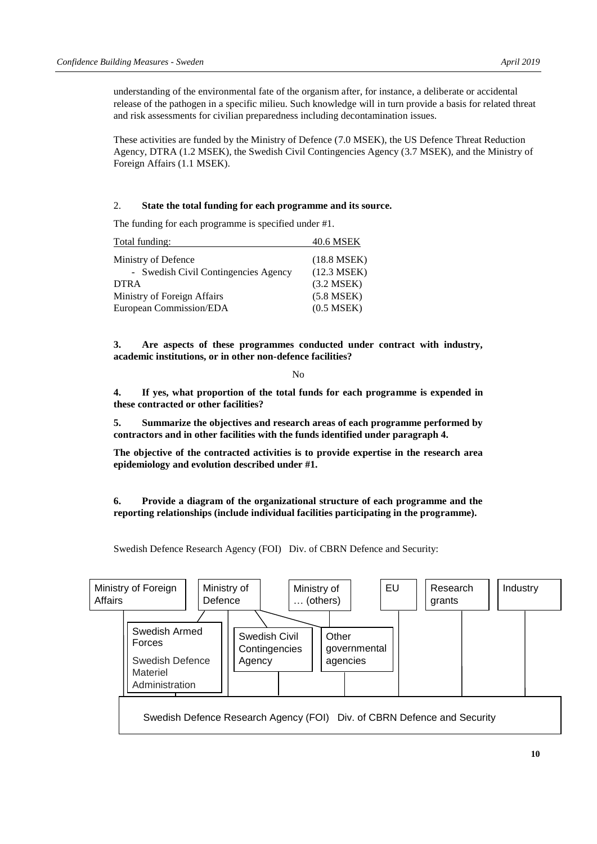understanding of the environmental fate of the organism after, for instance, a deliberate or accidental release of the pathogen in a specific milieu. Such knowledge will in turn provide a basis for related threat and risk assessments for civilian preparedness including decontamination issues.

These activities are funded by the Ministry of Defence (7.0 MSEK), the US Defence Threat Reduction Agency, DTRA (1.2 MSEK), the Swedish Civil Contingencies Agency (3.7 MSEK), and the Ministry of Foreign Affairs (1.1 MSEK).

#### 2. **State the total funding for each programme and its source.**

The funding for each programme is specified under #1.

| Total funding:                       | 40.6 MSEK       |
|--------------------------------------|-----------------|
| Ministry of Defence                  | $(18.8$ MSEK)   |
| - Swedish Civil Contingencies Agency | $(12.3$ MSEK)   |
| <b>DTRA</b>                          | $(3.2$ MSEK $)$ |
| Ministry of Foreign Affairs          | $(5.8$ MSEK $)$ |
| European Commission/EDA              | $(0.5$ MSEK $)$ |

**3. Are aspects of these programmes conducted under contract with industry, academic institutions, or in other non-defence facilities?**

No

**4. If yes, what proportion of the total funds for each programme is expended in these contracted or other facilities?**

**5. Summarize the objectives and research areas of each programme performed by contractors and in other facilities with the funds identified under paragraph 4.**

**The objective of the contracted activities is to provide expertise in the research area epidemiology and evolution described under #1.** 

**6. Provide a diagram of the organizational structure of each programme and the reporting relationships (include individual facilities participating in the programme).**

Swedish Defence Research Agency (FOI) Div. of CBRN Defence and Security:

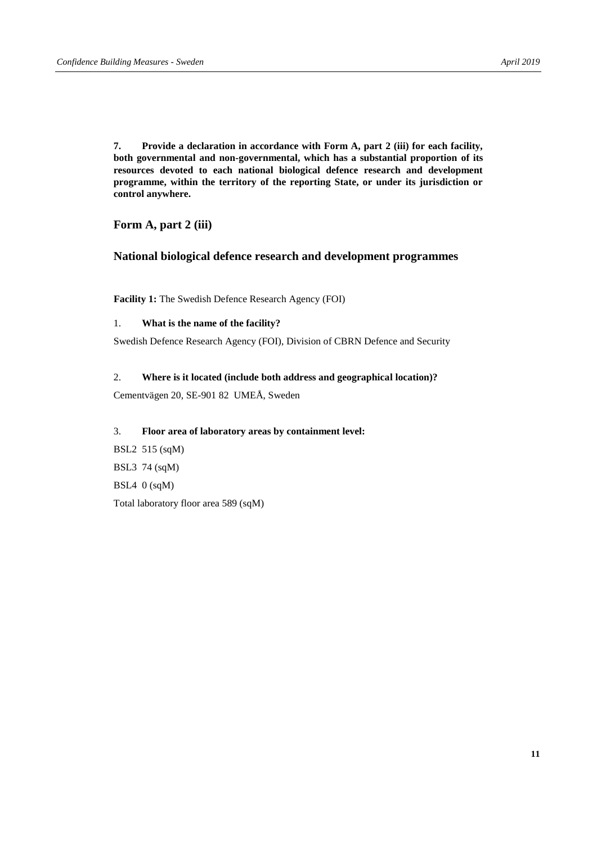**7. Provide a declaration in accordance with Form A, part 2 (iii) for each facility, both governmental and non-governmental, which has a substantial proportion of its resources devoted to each national biological defence research and development programme, within the territory of the reporting State, or under its jurisdiction or control anywhere.**

**Form A, part 2 (iii)**

#### **National biological defence research and development programmes**

**Facility 1:** The Swedish Defence Research Agency (FOI)

#### 1. **What is the name of the facility?**

Swedish Defence Research Agency (FOI), Division of CBRN Defence and Security

#### 2. **Where is it located (include both address and geographical location)?**

Cementvägen 20, SE-901 82 UMEÅ, Sweden

#### 3. **Floor area of laboratory areas by containment level:**

BSL2 515 (sqM) BSL3 74 (sqM) BSL4 0 (sqM) Total laboratory floor area 589 (sqM)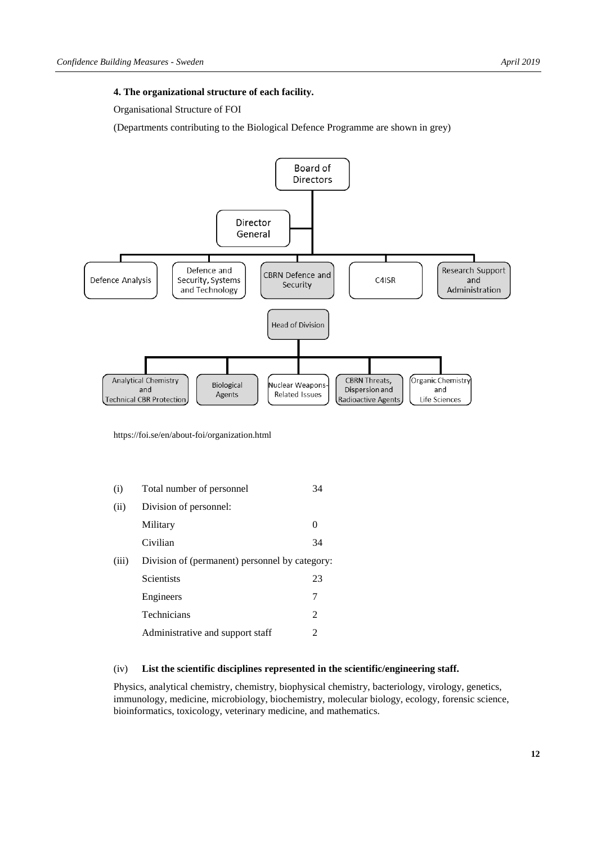#### **4. The organizational structure of each facility.**

Organisational Structure of FOI

(Departments contributing to the Biological Defence Programme are shown in grey)



<https://foi.se/en/about-foi/organization.html>

| (i)   | Total number of personnel                      | 34            |
|-------|------------------------------------------------|---------------|
| (ii)  | Division of personnel:                         |               |
|       | Military                                       | $\theta$      |
|       | Civilian                                       | 34            |
| (iii) | Division of (permanent) personnel by category: |               |
|       | <b>Scientists</b>                              | 23            |
|       | Engineers                                      | 7             |
|       | Technicians                                    | $\mathcal{L}$ |
|       | Administrative and support staff               | 2             |

#### (iv) **List the scientific disciplines represented in the scientific/engineering staff.**

Physics, analytical chemistry, chemistry, biophysical chemistry, bacteriology, virology, genetics, immunology, medicine, microbiology, biochemistry, molecular biology, ecology, forensic science, bioinformatics, toxicology, veterinary medicine, and mathematics.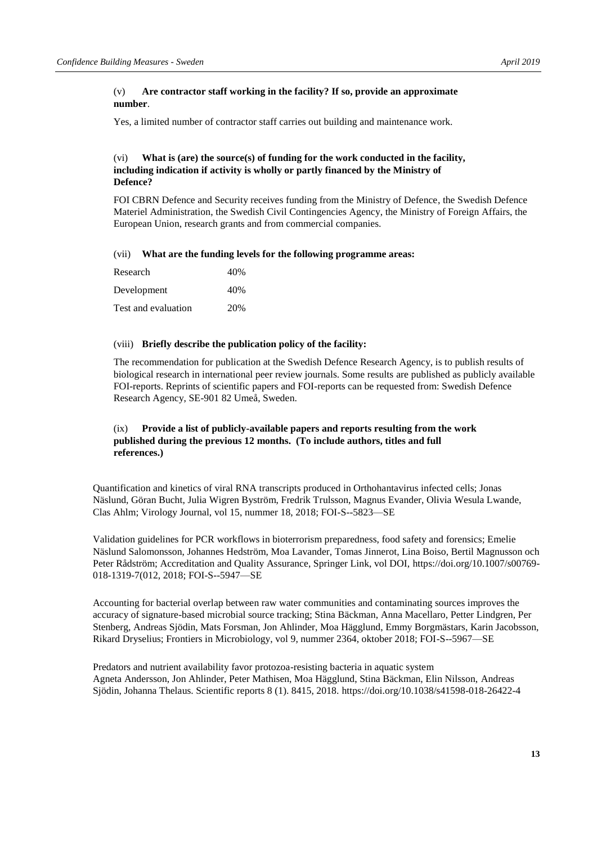#### (v) **Are contractor staff working in the facility? If so, provide an approximate number**.

Yes, a limited number of contractor staff carries out building and maintenance work.

#### (vi) **What is (are) the source(s) of funding for the work conducted in the facility, including indication if activity is wholly or partly financed by the Ministry of Defence?**

FOI CBRN Defence and Security receives funding from the Ministry of Defence, the Swedish Defence Materiel Administration, the Swedish Civil Contingencies Agency, the Ministry of Foreign Affairs, the European Union, research grants and from commercial companies.

#### (vii) **What are the funding levels for the following programme areas:**

| Research            | 40% |
|---------------------|-----|
| Development         | 40% |
| Test and evaluation | 20% |

#### (viii) **Briefly describe the publication policy of the facility:**

The recommendation for publication at the Swedish Defence Research Agency, is to publish results of biological research in international peer review journals. Some results are published as publicly available FOI-reports. Reprints of scientific papers and FOI-reports can be requested from: Swedish Defence Research Agency, SE-901 82 Umeå, Sweden.

#### (ix) **Provide a list of publicly-available papers and reports resulting from the work published during the previous 12 months. (To include authors, titles and full references.)**

Quantification and kinetics of viral RNA transcripts produced in Orthohantavirus infected cells; Jonas Näslund, Göran Bucht, Julia Wigren Byström, Fredrik Trulsson, Magnus Evander, Olivia Wesula Lwande, Clas Ahlm; Virology Journal, vol 15, nummer 18, 2018; FOI-S--5823—SE

Validation guidelines for PCR workflows in bioterrorism preparedness, food safety and forensics; Emelie Näslund Salomonsson, Johannes Hedström, Moa Lavander, Tomas Jinnerot, Lina Boiso, Bertil Magnusson och Peter Rådström; Accreditation and Quality Assurance, Springer Link, vol DOI, [https://doi.org/10.1007/s00769-](https://doi.org/10.1007/s00769-018-1319-7(012) [018-1319-7\(012,](https://doi.org/10.1007/s00769-018-1319-7(012) 2018; FOI-S--5947—SE

Accounting for bacterial overlap between raw water communities and contaminating sources improves the accuracy of signature-based microbial source tracking; Stina Bäckman, Anna Macellaro, Petter Lindgren, Per Stenberg, Andreas Sjödin, Mats Forsman, Jon Ahlinder, Moa Hägglund, Emmy Borgmästars, Karin Jacobsson, Rikard Dryselius; Frontiers in Microbiology, vol 9, nummer 2364, oktober 2018; FOI-S--5967—SE

Predators and nutrient availability favor protozoa-resisting bacteria in aquatic system Agneta Andersson, Jon Ahlinder, Peter Mathisen, Moa Hägglund, Stina Bäckman, Elin Nilsson, Andreas Sjödin, Johanna Thelaus. Scientific reports 8 (1). 8415, 2018.<https://doi.org/10.1038/s41598-018-26422-4>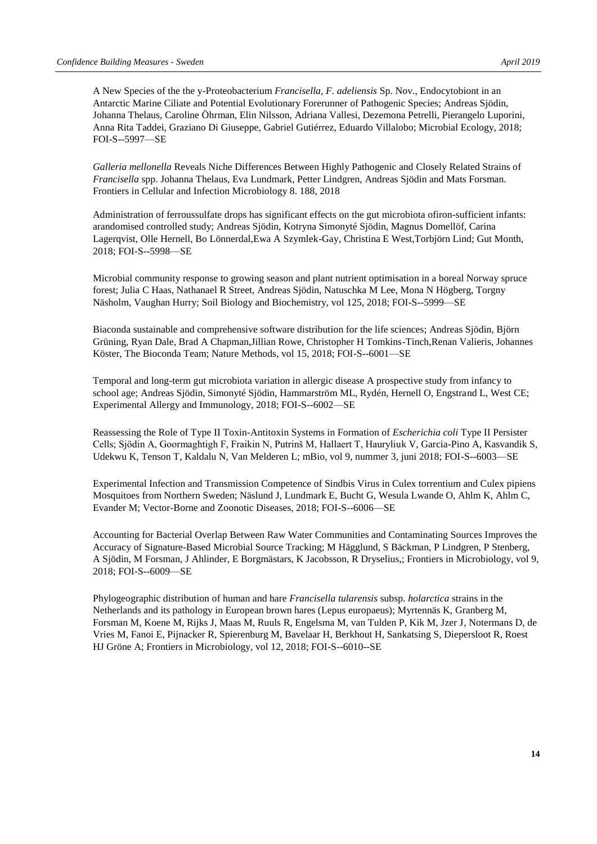A New Species of the the y-Proteobacterium *Francisella, F. adeliensis* Sp. Nov., Endocytobiont in an Antarctic Marine Ciliate and Potential Evolutionary Forerunner of Pathogenic Species; Andreas Sjödin, Johanna Thelaus, Caroline Öhrman, Elin Nilsson, Adriana Vallesi, Dezemona Petrelli, Pierangelo Luporini, Anna Rita Taddei, Graziano Di Giuseppe, Gabriel Gutiérrez, Eduardo Villalobo; Microbial Ecology, 2018; FOI-S--5997—SE

*Galleria mellonella* Reveals Niche Differences Between Highly Pathogenic and Closely Related Strains of *Francisella* spp. Johanna Thelaus, Eva Lundmark, Petter Lindgren, Andreas Sjödin and Mats Forsman. Frontiers in Cellular and Infection Microbiology 8. 188, 2018

Administration of ferroussulfate drops has significant effects on the gut microbiota ofiron-sufficient infants: arandomised controlled study; Andreas Sjödin, Kotryna Simonyté Sjödin, Magnus Domellöf, Carina Lagerqvist, Olle Hernell, Bo Lönnerdal,Ewa A Szymlek-Gay, Christina E West,Torbjörn Lind; Gut Month, 2018; FOI-S--5998—SE

Microbial community response to growing season and plant nutrient optimisation in a boreal Norway spruce forest; Julia C Haas, Nathanael R Street, Andreas Sjödin, Natuschka M Lee, Mona N Högberg, Torgny Näsholm, Vaughan Hurry; Soil Biology and Biochemistry, vol 125, 2018; FOI-S--5999—SE

Biaconda sustainable and comprehensive software distribution for the life sciences; Andreas Sjödin, Björn Grüning, Ryan Dale, Brad A Chapman,Jillian Rowe, Christopher H Tomkins-Tinch,Renan Valieris, Johannes Köster, The Bioconda Team; Nature Methods, vol 15, 2018; FOI-S--6001—SE

Temporal and long-term gut microbiota variation in allergic disease A prospective study from infancy to school age; Andreas Sjödin, Simonyté Sjödin, Hammarström ML, Rydén, Hernell O, Engstrand L, West CE; Experimental Allergy and Immunology, 2018; FOI-S--6002—SE

Reassessing the Role of Type II Toxin-Antitoxin Systems in Formation of *Escherichia coli* Type II Persister Cells; Sjödin A, Goormaghtigh F, Fraikin N, Putrinš M, Hallaert T, Hauryliuk V, Garcia-Pino A, Kasvandik S, Udekwu K, Tenson T, Kaldalu N, Van Melderen L; mBio, vol 9, nummer 3, juni 2018; FOI-S--6003—SE

Experimental Infection and Transmission Competence of Sindbis Virus in Culex torrentium and Culex pipiens Mosquitoes from Northern Sweden; Näslund J, Lundmark E, Bucht G, Wesula Lwande O, Ahlm K, Ahlm C, Evander M; Vector-Borne and Zoonotic Diseases, 2018; FOI-S--6006—SE

Accounting for Bacterial Overlap Between Raw Water Communities and Contaminating Sources Improves the Accuracy of Signature-Based Microbial Source Tracking; M Hägglund, S Bäckman, P Lindgren, P Stenberg, A Sjödin, M Forsman, J Ahlinder, E Borgmästars, K Jacobsson, R Dryselius,; Frontiers in Microbiology, vol 9, 2018; FOI-S--6009—SE

Phylogeographic distribution of human and hare *Francisella tularensis* subsp. *holarctica* strains in the Netherlands and its pathology in European brown hares (Lepus europaeus); Myrtennäs K, Granberg M, Forsman M, Koene M, Rijks J, Maas M, Ruuls R, Engelsma M, van Tulden P, Kik M, Jzer J, Notermans D, de Vries M, Fanoi E, Pijnacker R, Spierenburg M, Bavelaar H, Berkhout H, Sankatsing S, Diepersloot R, Roest HJ Gröne A; Frontiers in Microbiology, vol 12, 2018; FOI-S--6010--SE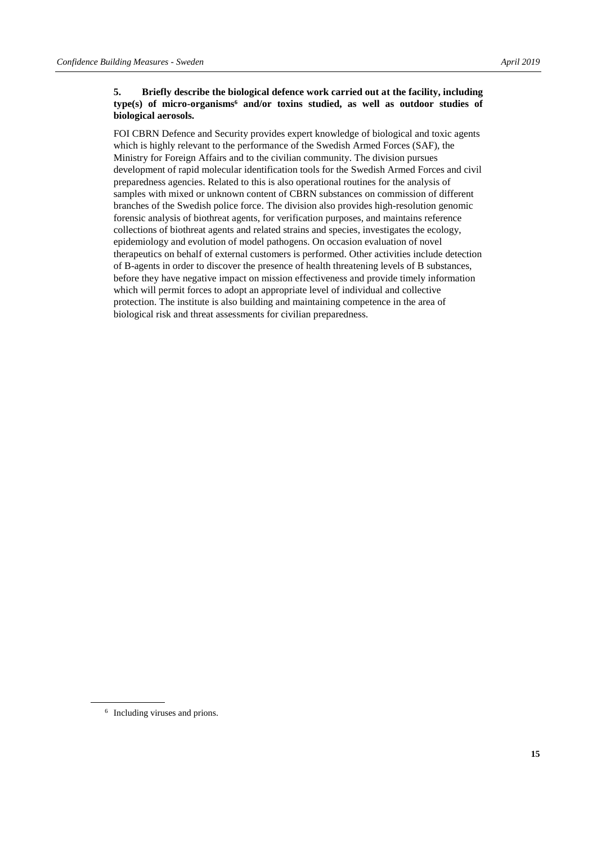#### **5. Briefly describe the biological defence work carried out at the facility, including type(s) of micro-organisms<sup>6</sup> and/or toxins studied, as well as outdoor studies of biological aerosols.**

FOI CBRN Defence and Security provides expert knowledge of biological and toxic agents which is highly relevant to the performance of the Swedish Armed Forces (SAF), the Ministry for Foreign Affairs and to the civilian community. The division pursues development of rapid molecular identification tools for the Swedish Armed Forces and civil preparedness agencies. Related to this is also operational routines for the analysis of samples with mixed or unknown content of CBRN substances on commission of different branches of the Swedish police force. The division also provides high-resolution genomic forensic analysis of biothreat agents, for verification purposes, and maintains reference collections of biothreat agents and related strains and species, investigates the ecology, epidemiology and evolution of model pathogens. On occasion evaluation of novel therapeutics on behalf of external customers is performed. Other activities include detection of B-agents in order to discover the presence of health threatening levels of B substances, before they have negative impact on mission effectiveness and provide timely information which will permit forces to adopt an appropriate level of individual and collective protection. The institute is also building and maintaining competence in the area of biological risk and threat assessments for civilian preparedness.

<sup>6</sup> Including viruses and prions.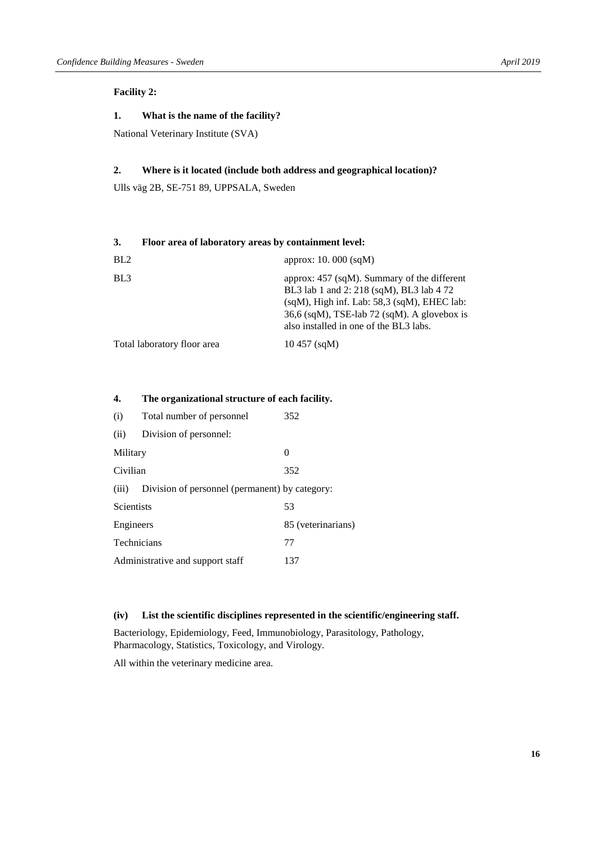#### **Facility 2:**

#### **1. What is the name of the facility?**

National Veterinary Institute (SVA)

#### **2. Where is it located (include both address and geographical location)?**

Ulls väg 2B, SE-751 89, UPPSALA, Sweden

| 3.              | Floor area of laboratory areas by containment level:                                                                                                                                                                                    |  |  |  |
|-----------------|-----------------------------------------------------------------------------------------------------------------------------------------------------------------------------------------------------------------------------------------|--|--|--|
| BL <sub>2</sub> | approx: $10.000$ (sqM)                                                                                                                                                                                                                  |  |  |  |
| BL <sub>3</sub> | approx: $457$ (sqM). Summary of the different<br>BL3 lab 1 and 2: 218 (sqM), BL3 lab 4 72<br>$(sqM)$ , High inf. Lab: 58,3 $(sqM)$ , EHEC lab:<br>36,6 (sqM), TSE-lab 72 (sqM). A glovebox is<br>also installed in one of the BL3 labs. |  |  |  |
|                 | Total laboratory floor area<br>$10\,457$ (sqM)                                                                                                                                                                                          |  |  |  |

#### **4. The organizational structure of each facility.**

| (i)                              | Total number of personnel                      | 352                |
|----------------------------------|------------------------------------------------|--------------------|
| (ii)                             | Division of personnel:                         |                    |
| Military                         |                                                | 0                  |
| Civilian                         |                                                | 352                |
| (iii)                            | Division of personnel (permanent) by category: |                    |
| <b>Scientists</b>                |                                                | 53                 |
| Engineers                        |                                                | 85 (veterinarians) |
| <b>Technicians</b>               |                                                | 77                 |
| Administrative and support staff |                                                | 137                |

#### **(iv) List the scientific disciplines represented in the scientific/engineering staff.**

Bacteriology, Epidemiology, Feed, Immunobiology, Parasitology, Pathology, Pharmacology, Statistics, Toxicology, and Virology.

All within the veterinary medicine area.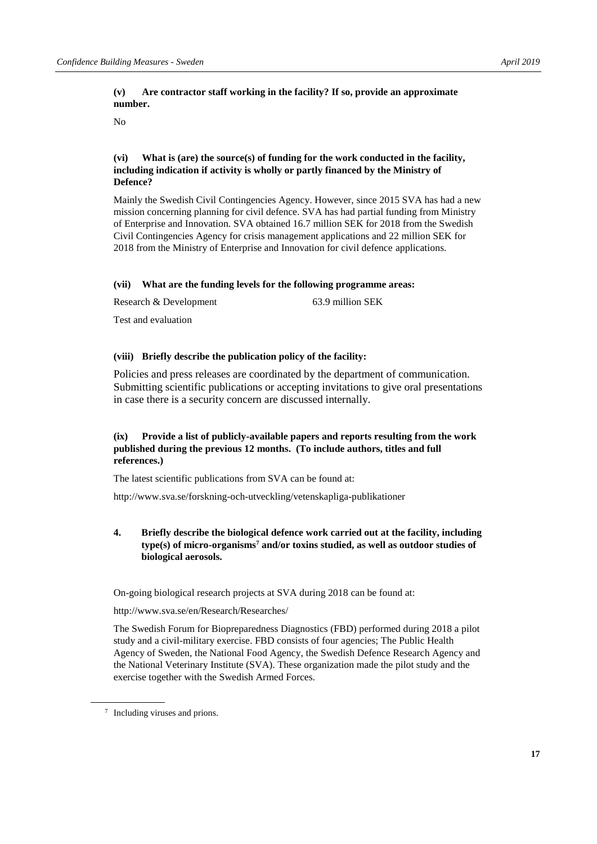No

#### **(vi) What is (are) the source(s) of funding for the work conducted in the facility, including indication if activity is wholly or partly financed by the Ministry of Defence?**

Mainly the Swedish Civil Contingencies Agency. However, since 2015 SVA has had a new mission concerning planning for civil defence. SVA has had partial funding from Ministry of Enterprise and Innovation. SVA obtained 16.7 million SEK for 2018 from the Swedish Civil Contingencies Agency for crisis management applications and 22 million SEK for 2018 from the Ministry of Enterprise and Innovation for civil defence applications.

#### **(vii) What are the funding levels for the following programme areas:**

| Research & Development | 63.9 million SEK |
|------------------------|------------------|
|                        |                  |

Test and evaluation

#### **(viii) Briefly describe the publication policy of the facility:**

Policies and press releases are coordinated by the department of communication. Submitting scientific publications or accepting invitations to give oral presentations in case there is a security concern are discussed internally.

#### **(ix) Provide a list of publicly-available papers and reports resulting from the work published during the previous 12 months. (To include authors, titles and full references.)**

The latest scientific publications from SVA can be found at:

<http://www.sva.se/forskning-och-utveckling/vetenskapliga-publikationer>

#### **4. Briefly describe the biological defence work carried out at the facility, including type(s) of micro-organisms<sup>7</sup> and/or toxins studied, as well as outdoor studies of biological aerosols.**

On-going biological research projects at SVA during 2018 can be found at:

#### <http://www.sva.se/en/Research/Researches/>

The Swedish Forum for Biopreparedness Diagnostics (FBD) performed during 2018 a pilot study and a civil-military exercise. FBD consists of four agencies; The Public Health Agency of Sweden, the National Food Agency, the Swedish Defence Research Agency and the National Veterinary Institute (SVA). These organization made the pilot study and the exercise together with the Swedish Armed Forces.

<sup>7</sup> Including viruses and prions.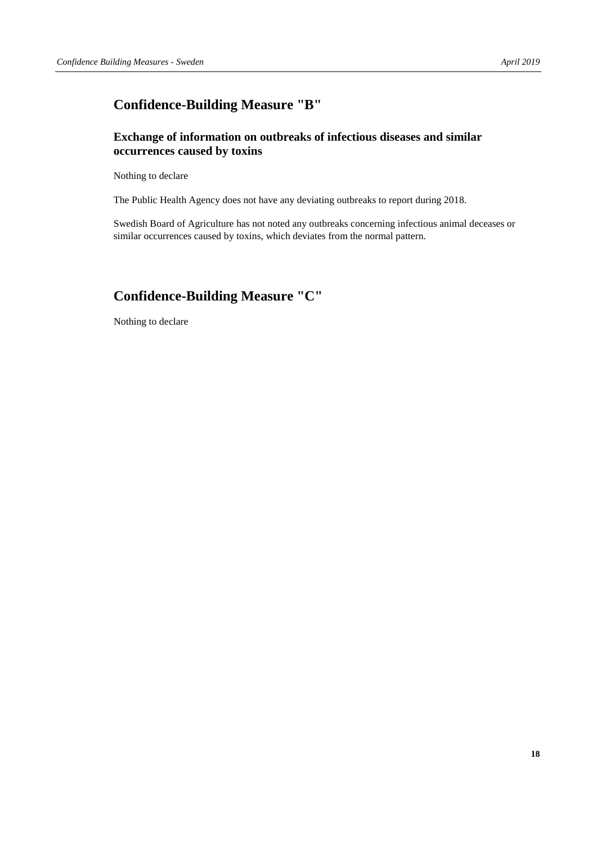## **Confidence-Building Measure "B"**

## **Exchange of information on outbreaks of infectious diseases and similar occurrences caused by toxins**

Nothing to declare

The Public Health Agency does not have any deviating outbreaks to report during 2018.

Swedish Board of Agriculture has not noted any outbreaks concerning infectious animal deceases or similar occurrences caused by toxins, which deviates from the normal pattern.

## **Confidence-Building Measure "C"**

Nothing to declare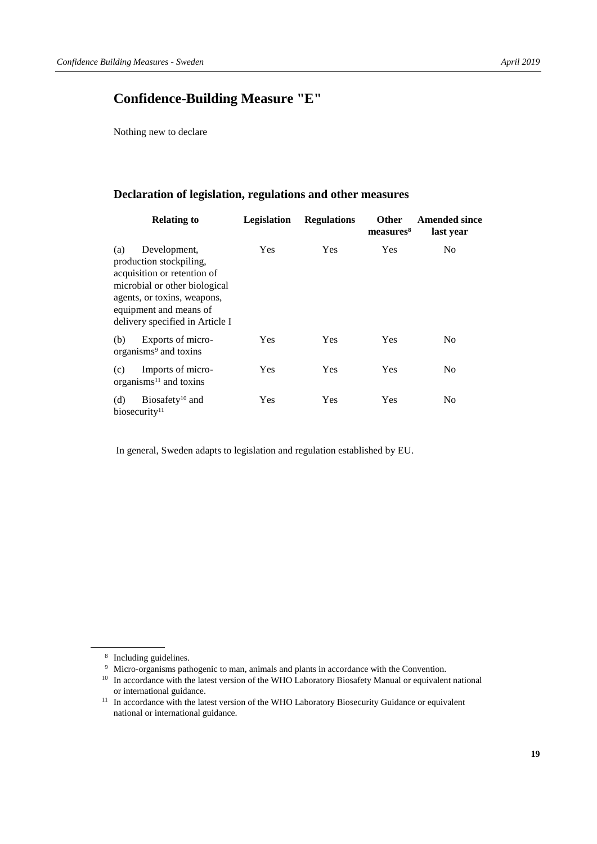## **Confidence-Building Measure "E"**

Nothing new to declare

### **Declaration of legislation, regulations and other measures**

| <b>Relating to</b>                                                                                                                                                                                         | Legislation | <b>Regulations</b> | <b>Other</b><br>measures <sup>8</sup> | <b>Amended since</b><br>last year |
|------------------------------------------------------------------------------------------------------------------------------------------------------------------------------------------------------------|-------------|--------------------|---------------------------------------|-----------------------------------|
| Development,<br>(a)<br>production stockpiling,<br>acquisition or retention of<br>microbial or other biological<br>agents, or toxins, weapons,<br>equipment and means of<br>delivery specified in Article I | Yes         | Yes                | Yes                                   | N <sub>0</sub>                    |
| Exports of micro-<br>(b)<br>organisms <sup>9</sup> and toxins                                                                                                                                              | <b>Yes</b>  | <b>Yes</b>         | Yes                                   | No                                |
| Imports of micro-<br>(c)<br>organisms $11$ and toxins                                                                                                                                                      | Yes         | <b>Yes</b>         | Yes                                   | N <sub>0</sub>                    |
| Biosafety <sup>10</sup> and<br>(d)<br>biosecurity <sup>11</sup>                                                                                                                                            | Yes         | Yes                | Yes                                   | N <sub>0</sub>                    |

In general, Sweden adapts to legislation and regulation established by EU.

<sup>8</sup> Including guidelines.

<sup>9</sup> Micro-organisms pathogenic to man, animals and plants in accordance with the Convention.

<sup>&</sup>lt;sup>10</sup> In accordance with the latest version of the WHO Laboratory Biosafety Manual or equivalent national or international guidance.

<sup>&</sup>lt;sup>11</sup> In accordance with the latest version of the WHO Laboratory Biosecurity Guidance or equivalent national or international guidance.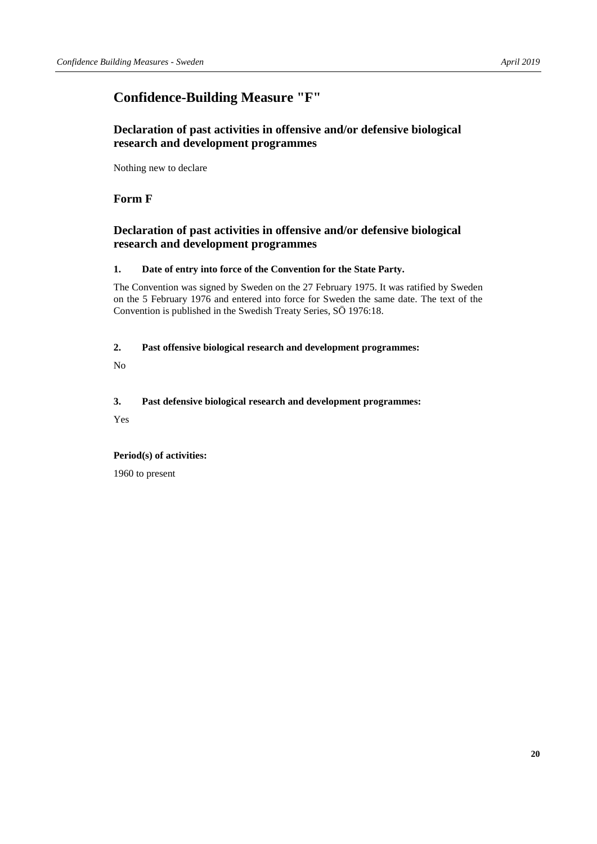## **Confidence-Building Measure "F"**

## **Declaration of past activities in offensive and/or defensive biological research and development programmes**

Nothing new to declare

## **Form F**

## **Declaration of past activities in offensive and/or defensive biological research and development programmes**

#### **1. Date of entry into force of the Convention for the State Party.**

The Convention was signed by Sweden on the 27 February 1975. It was ratified by Sweden on the 5 February 1976 and entered into force for Sweden the same date. The text of the Convention is published in the Swedish Treaty Series, SÖ 1976:18.

#### **2. Past offensive biological research and development programmes:**

No

#### **3. Past defensive biological research and development programmes:**

Yes

#### **Period(s) of activities:**

1960 to present